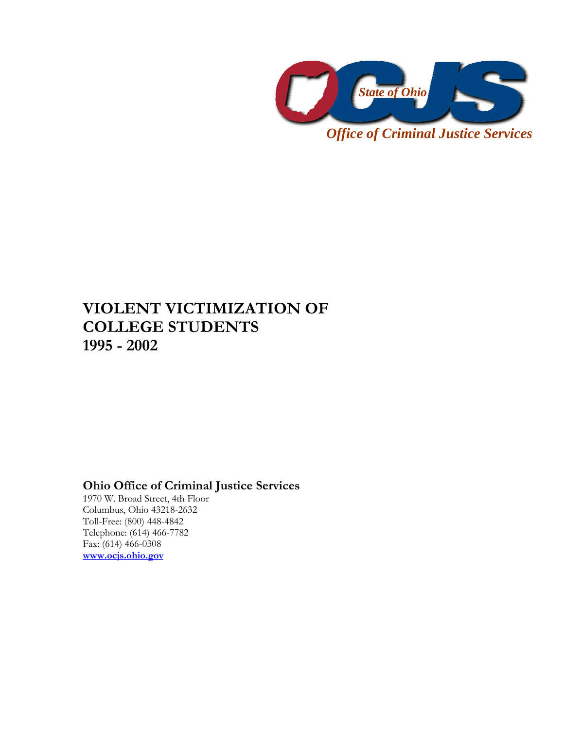

*Office of Criminal Justice Services* 

## **VIOLENT VICTIMIZATION OF COLLEGE STUDENTS 1995 - 2002**

## **Ohio Office of Criminal Justice Services**

1970 W. Broad Street, 4th Floor Columbus, Ohio 43218-2632 Toll-Free: (800) 448-4842 Telephone: (614) 466-7782 Fax: (614) 466-0308 **www.ocjs.ohio.gov**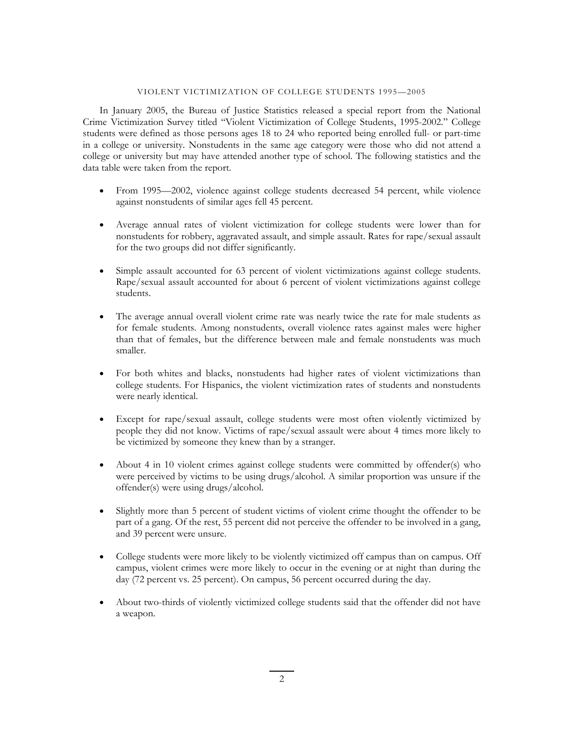## VIOLENT VICTIMIZATION OF COLLEGE STUDENTS 1995—2005

In January 2005, the Bureau of Justice Statistics released a special report from the National Crime Victimization Survey titled "Violent Victimization of College Students, 1995-2002." College students were defined as those persons ages 18 to 24 who reported being enrolled full- or part-time in a college or university. Nonstudents in the same age category were those who did not attend a college or university but may have attended another type of school. The following statistics and the data table were taken from the report.

- From 1995—2002, violence against college students decreased 54 percent, while violence against nonstudents of similar ages fell 45 percent.
- Average annual rates of violent victimization for college students were lower than for nonstudents for robbery, aggravated assault, and simple assault. Rates for rape/sexual assault for the two groups did not differ significantly.
- Simple assault accounted for 63 percent of violent victimizations against college students. Rape/sexual assault accounted for about 6 percent of violent victimizations against college students.
- The average annual overall violent crime rate was nearly twice the rate for male students as for female students. Among nonstudents, overall violence rates against males were higher than that of females, but the difference between male and female nonstudents was much smaller.
- For both whites and blacks, nonstudents had higher rates of violent victimizations than college students. For Hispanics, the violent victimization rates of students and nonstudents were nearly identical.
- Except for rape/sexual assault, college students were most often violently victimized by people they did not know. Victims of rape/sexual assault were about 4 times more likely to be victimized by someone they knew than by a stranger.
- About 4 in 10 violent crimes against college students were committed by offender(s) who were perceived by victims to be using drugs/alcohol. A similar proportion was unsure if the offender(s) were using drugs/alcohol.
- Slightly more than 5 percent of student victims of violent crime thought the offender to be part of a gang. Of the rest, 55 percent did not perceive the offender to be involved in a gang, and 39 percent were unsure.
- College students were more likely to be violently victimized off campus than on campus. Off campus, violent crimes were more likely to occur in the evening or at night than during the day (72 percent vs. 25 percent). On campus, 56 percent occurred during the day.
- About two-thirds of violently victimized college students said that the offender did not have a weapon.